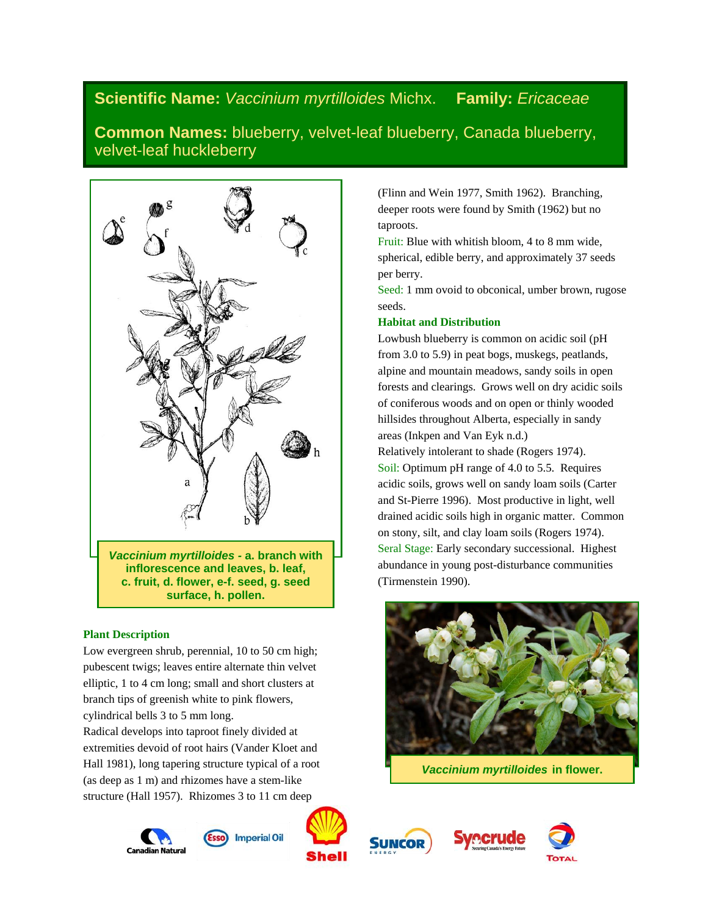# **Scientific Name:** *Vaccinium myrtilloides* Michx. **Family:** *Ericaceae*

**Common Names:** blueberry, velvet-leaf blueberry, Canada blueberry, velvet-leaf huckleberry



## **Plant Description**

Low evergreen shrub, perennial, 10 to 50 cm high; pubescent twigs; leaves entire alternate thin velvet elliptic, 1 to 4 cm long; small and short clusters at branch tips of greenish white to pink flowers, cylindrical bells 3 to 5 mm long.

Radical develops into taproot finely divided at extremities devoid of root hairs (Vander Kloet and Hall 1981), long tapering structure typical of a root (as deep as 1 m) and rhizomes have a stem-like structure (Hall 1957). Rhizomes 3 to 11 cm deep













(Flinn and Wein 1977, Smith 1962). Branching, deeper roots were found by Smith (1962) but no taproots.

Fruit: Blue with whitish bloom, 4 to 8 mm wide, spherical, edible berry, and approximately 37 seeds per berry.

Seed: 1 mm ovoid to obconical, umber brown, rugose seeds.

## **Habitat and Distribution**

Lowbush blueberry is common on acidic soil (pH from 3.0 to 5.9) in peat bogs, muskegs, peatlands, alpine and mountain meadows, sandy soils in open forests and clearings. Grows well on dry acidic soils of coniferous woods and on open or thinly wooded hillsides throughout Alberta, especially in sandy areas (Inkpen and Van Eyk n.d.)

Relatively intolerant to shade (Rogers 1974). Soil: Optimum pH range of 4.0 to 5.5. Requires acidic soils, grows well on sandy loam soils (Carter and St-Pierre 1996). Most productive in light, well drained acidic soils high in organic matter. Common on stony, silt, and clay loam soils (Rogers 1974). Seral Stage: Early secondary successional. Highest abundance in young post-disturbance communities (Tirmenstein 1990).



*Vaccinium myrtilloides* **in flower.**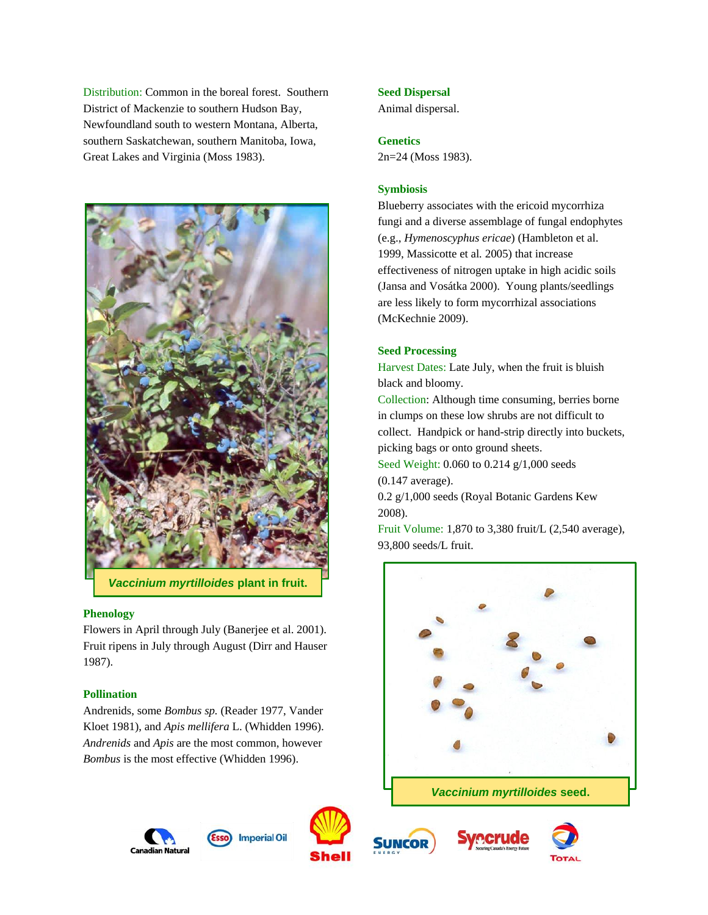Distribution: Common in the boreal forest. Southern District of Mackenzie to southern Hudson Bay, Newfoundland south to western Montana, Alberta, southern Saskatchewan, southern Manitoba, Iowa, Great Lakes and Virginia (Moss 1983).



*Vaccinium myrtilloides* **plant in fruit.**

#### **Phenology**

Flowers in April through July (Banerjee et al. 2001). Fruit ripens in July through August (Dirr and Hauser 1987).

## **Pollination**

Andrenids, some *Bombus sp.* (Reader 1977, Vander Kloet 1981), and *Apis mellifera* L. (Whidden 1996). *Andrenids* and *Apis* are the most common, however *Bombus* is the most effective (Whidden 1996).

## Animal dispersal.

## **Genetics**

2n=24 (Moss 1983).

**Seed Dispersal**

#### **Symbiosis**

Blueberry associates with the ericoid mycorrhiza fungi and a diverse assemblage of fungal endophytes (e.g., *Hymenoscyphus ericae*) (Hambleton et al. 1999, Massicotte et al*.* 2005) that increase effectiveness of nitrogen uptake in high acidic soils (Jansa and Vosátka 2000). Young plants/seedlings are less likely to form mycorrhizal associations (McKechnie 2009).

## **Seed Processing**

Harvest Dates: Late July, when the fruit is bluish black and bloomy.

Collection: Although time consuming, berries borne in clumps on these low shrubs are not difficult to collect. Handpick or hand-strip directly into buckets, picking bags or onto ground sheets.

Seed Weight: 0.060 to 0.214 g/1,000 seeds

(0.147 average).

0.2 g/1,000 seeds (Royal Botanic Gardens Kew 2008).

Fruit Volume: 1,870 to 3,380 fruit/L (2,540 average), 93,800 seeds/L fruit.







**Imperial Oil** 



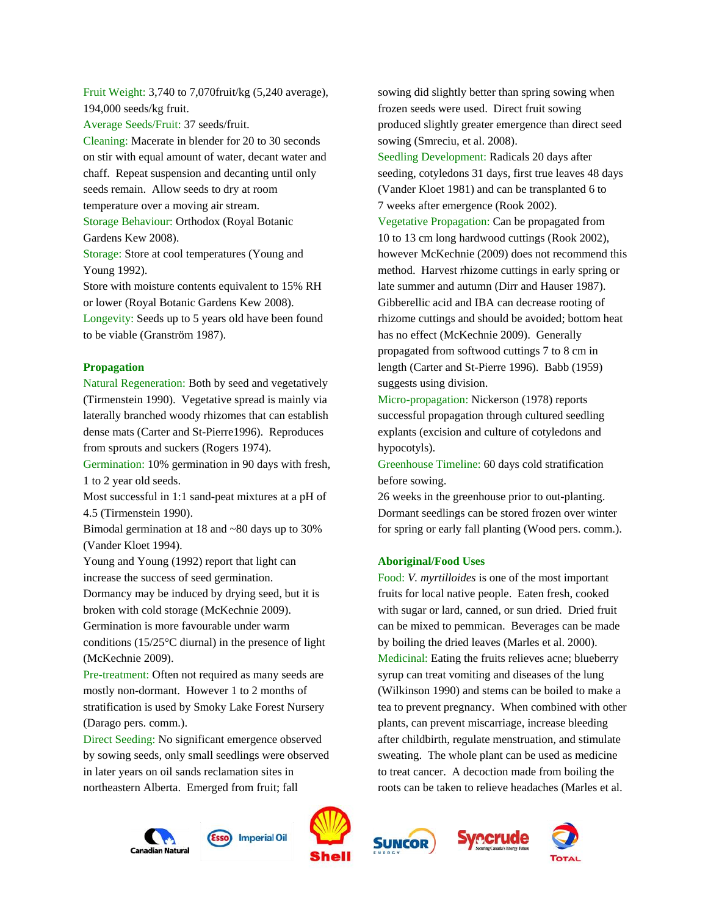Fruit Weight: 3,740 to 7,070fruit/kg (5,240 average), 194,000 seeds/kg fruit.

Average Seeds/Fruit: 37 seeds/fruit.

Cleaning: Macerate in blender for 20 to 30 seconds on stir with equal amount of water, decant water and chaff. Repeat suspension and decanting until only seeds remain. Allow seeds to dry at room temperature over a moving air stream. Storage Behaviour: Orthodox (Royal Botanic Gardens Kew 2008).

Storage: Store at cool temperatures (Young and Young 1992).

Store with moisture contents equivalent to 15% RH or lower (Royal Botanic Gardens Kew 2008). Longevity: Seeds up to 5 years old have been found to be viable (Granström 1987).

#### **Propagation**

Natural Regeneration: Both by seed and vegetatively (Tirmenstein 1990). Vegetative spread is mainly via laterally branched woody rhizomes that can establish dense mats (Carter and St-Pierre1996). Reproduces from sprouts and suckers (Rogers 1974).

Germination: 10% germination in 90 days with fresh, 1 to 2 year old seeds.

Most successful in 1:1 sand-peat mixtures at a pH of 4.5 (Tirmenstein 1990).

Bimodal germination at 18 and ~80 days up to 30% (Vander Kloet 1994).

Young and Young (1992) report that light can increase the success of seed germination.

Dormancy may be induced by drying seed, but it is broken with cold storage (McKechnie 2009).

Germination is more favourable under warm conditions (15/25°C diurnal) in the presence of light (McKechnie 2009).

Pre-treatment: Often not required as many seeds are mostly non-dormant. However 1 to 2 months of stratification is used by Smoky Lake Forest Nursery (Darago pers. comm.).

Direct Seeding: No significant emergence observed by sowing seeds, only small seedlings were observed in later years on oil sands reclamation sites in northeastern Alberta. Emerged from fruit; fall

sowing did slightly better than spring sowing when frozen seeds were used. Direct fruit sowing produced slightly greater emergence than direct seed sowing (Smreciu, et al. 2008).

Seedling Development: Radicals 20 days after seeding, cotyledons 31 days, first true leaves 48 days (Vander Kloet 1981) and can be transplanted 6 to 7 weeks after emergence (Rook 2002).

Vegetative Propagation: Can be propagated from 10 to 13 cm long hardwood cuttings (Rook 2002), however McKechnie (2009) does not recommend this method. Harvest rhizome cuttings in early spring or late summer and autumn (Dirr and Hauser 1987). Gibberellic acid and IBA can decrease rooting of rhizome cuttings and should be avoided; bottom heat has no effect (McKechnie 2009). Generally propagated from softwood cuttings 7 to 8 cm in length (Carter and St-Pierre 1996). Babb (1959) suggests using division.

Micro-propagation: Nickerson (1978) reports successful propagation through cultured seedling explants (excision and culture of cotyledons and hypocotyls).

Greenhouse Timeline: 60 days cold stratification before sowing.

26 weeks in the greenhouse prior to out-planting. Dormant seedlings can be stored frozen over winter for spring or early fall planting (Wood pers. comm.).

#### **Aboriginal/Food Uses**

Food: *V. myrtilloides* is one of the most important fruits for local native people. Eaten fresh, cooked with sugar or lard, canned, or sun dried. Dried fruit can be mixed to pemmican. Beverages can be made by boiling the dried leaves (Marles et al. 2000). Medicinal: Eating the fruits relieves acne; blueberry syrup can treat vomiting and diseases of the lung (Wilkinson 1990) and stems can be boiled to make a tea to prevent pregnancy. When combined with other plants, can prevent miscarriage, increase bleeding after childbirth, regulate menstruation, and stimulate sweating. The whole plant can be used as medicine to treat cancer. A decoction made from boiling the roots can be taken to relieve headaches (Marles et al.









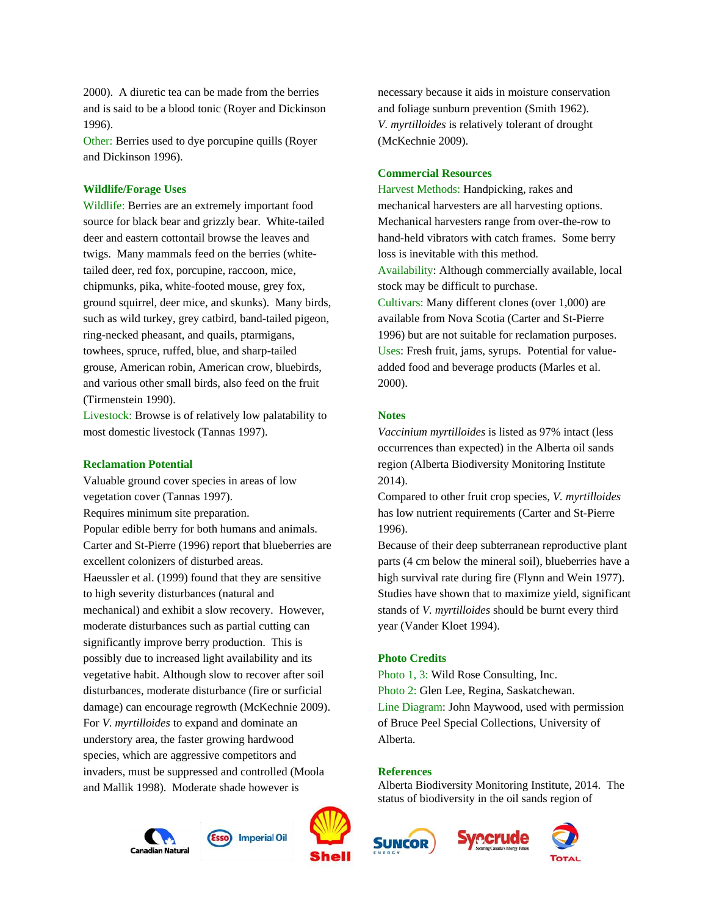2000). A diuretic tea can be made from the berries and is said to be a blood tonic (Royer and Dickinson 1996).

Other: Berries used to dye porcupine quills (Royer and Dickinson 1996).

## **Wildlife/Forage Uses**

Wildlife: Berries are an extremely important food source for black bear and grizzly bear. White-tailed deer and eastern cottontail browse the leaves and twigs. Many mammals feed on the berries (whitetailed deer, red fox, porcupine, raccoon, mice, chipmunks, pika, white-footed mouse, grey fox, ground squirrel, deer mice, and skunks). Many birds, such as wild turkey, grey catbird, band-tailed pigeon, ring-necked pheasant, and quails, ptarmigans, towhees, spruce, ruffed, blue, and sharp-tailed grouse, American robin, American crow, bluebirds, and various other small birds, also feed on the fruit (Tirmenstein 1990).

Livestock: Browse is of relatively low palatability to most domestic livestock (Tannas 1997).

## **Reclamation Potential**

Valuable ground cover species in areas of low vegetation cover (Tannas 1997). Requires minimum site preparation. Popular edible berry for both humans and animals. Carter and St-Pierre (1996) report that blueberries are excellent colonizers of disturbed areas. Haeussler et al. (1999) found that they are sensitive to high severity disturbances (natural and mechanical) and exhibit a slow recovery. However, moderate disturbances such as partial cutting can significantly improve berry production. This is possibly due to increased light availability and its vegetative habit. Although slow to recover after soil disturbances, moderate disturbance (fire or surficial damage) can encourage regrowth (McKechnie 2009). For *V. myrtilloides* to expand and dominate an understory area, the faster growing hardwood species, which are aggressive competitors and invaders, must be suppressed and controlled (Moola and Mallik 1998). Moderate shade however is

**Canadian Natura** 





necessary because it aids in moisture conservation and foliage sunburn prevention (Smith 1962). *V. myrtilloides* is relatively tolerant of drought (McKechnie 2009).

#### **Commercial Resources**

Harvest Methods: Handpicking, rakes and mechanical harvesters are all harvesting options. Mechanical harvesters range from over-the-row to hand-held vibrators with catch frames. Some berry loss is inevitable with this method. Availability: Although commercially available, local stock may be difficult to purchase. Cultivars: Many different clones (over 1,000) are available from Nova Scotia (Carter and St-Pierre 1996) but are not suitable for reclamation purposes. Uses: Fresh fruit, jams, syrups. Potential for valueadded food and beverage products (Marles et al. 2000).

#### **Notes**

*Vaccinium myrtilloides* is listed as 97% intact (less occurrences than expected) in the Alberta oil sands region (Alberta Biodiversity Monitoring Institute 2014).

Compared to other fruit crop species, *V. myrtilloides*  has low nutrient requirements (Carter and St-Pierre 1996).

Because of their deep subterranean reproductive plant parts (4 cm below the mineral soil), blueberries have a high survival rate during fire (Flynn and Wein 1977). Studies have shown that to maximize yield, significant stands of *V. myrtilloides* should be burnt every third year (Vander Kloet 1994).

#### **Photo Credits**

Photo 1, 3: Wild Rose Consulting, Inc. Photo 2: Glen Lee, Regina, Saskatchewan. Line Diagram: John Maywood, used with permission of Bruce Peel Special Collections, University of Alberta.

#### **References**

Alberta Biodiversity Monitoring Institute, 2014. The status of biodiversity in the oil sands region of



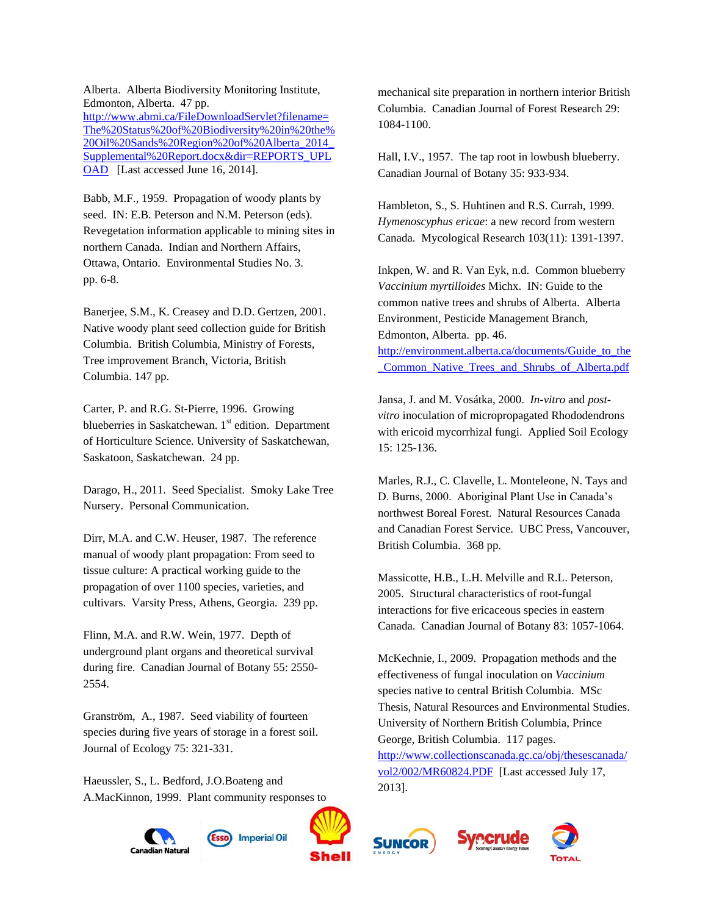Alberta. Alberta Biodiversity Monitoring Institute, Edmonton, Alberta. 47 pp. [http://www.abmi.ca/FileDownloadServlet?filename=](http://www.abmi.ca/FileDownloadServlet?filename=The%20Status%20of%20Biodiversity%20in%20the%20Oil%20Sands%20Region%20of%20Alberta_2014_Supplemental%20Report.docx&dir=REPORTS_UPLOAD) [The%20Status%20of%20Biodiversity%20in%20the%](http://www.abmi.ca/FileDownloadServlet?filename=The%20Status%20of%20Biodiversity%20in%20the%20Oil%20Sands%20Region%20of%20Alberta_2014_Supplemental%20Report.docx&dir=REPORTS_UPLOAD) [20Oil%20Sands%20Region%20of%20Alberta\\_2014\\_](http://www.abmi.ca/FileDownloadServlet?filename=The%20Status%20of%20Biodiversity%20in%20the%20Oil%20Sands%20Region%20of%20Alberta_2014_Supplemental%20Report.docx&dir=REPORTS_UPLOAD) [Supplemental%20Report.docx&dir=REPORTS\\_UPL](http://www.abmi.ca/FileDownloadServlet?filename=The%20Status%20of%20Biodiversity%20in%20the%20Oil%20Sands%20Region%20of%20Alberta_2014_Supplemental%20Report.docx&dir=REPORTS_UPLOAD) [OAD](http://www.abmi.ca/FileDownloadServlet?filename=The%20Status%20of%20Biodiversity%20in%20the%20Oil%20Sands%20Region%20of%20Alberta_2014_Supplemental%20Report.docx&dir=REPORTS_UPLOAD) [Last accessed June 16, 2014].

Babb, M.F., 1959. Propagation of woody plants by seed. IN: E.B. Peterson and N.M. Peterson (eds). Revegetation information applicable to mining sites in northern Canada. Indian and Northern Affairs, Ottawa, Ontario. Environmental Studies No. 3. pp. 6-8.

Banerjee, S.M., K. Creasey and D.D. Gertzen, 2001. Native woody plant seed collection guide for British Columbia. British Columbia, Ministry of Forests, Tree improvement Branch, Victoria, British Columbia. 147 pp.

Carter, P. and R.G. St-Pierre, 1996. Growing blueberries in Saskatchewan. 1<sup>st</sup> edition. Department of Horticulture Science. University of Saskatchewan, Saskatoon, Saskatchewan. 24 pp.

Darago, H., 2011. Seed Specialist. Smoky Lake Tree Nursery. Personal Communication.

Dirr, M.A. and C.W. Heuser, 1987. The reference manual of woody plant propagation: From seed to tissue culture: A practical working guide to the propagation of over 1100 species, varieties, and cultivars. Varsity Press, Athens, Georgia. 239 pp.

Flinn, M.A. and R.W. Wein, 1977. Depth of underground plant organs and theoretical survival during fire. Canadian Journal of Botany 55: 2550- 2554.

Granström, A., 1987. Seed viability of fourteen species during five years of storage in a forest soil. Journal of Ecology 75: 321-331.

Haeussler, S., L. Bedford, J.O.Boateng and A.MacKinnon, 1999. Plant community responses to



mechanical site preparation in northern interior British Columbia. Canadian Journal of Forest Research 29: 1084-1100.

Hall, I.V., 1957. The tap root in lowbush blueberry. Canadian Journal of Botany 35: 933-934.

Hambleton, S., S. Huhtinen and R.S. Currah, 1999. *Hymenoscyphus ericae*: a new record from western Canada. Mycological Research 103(11): 1391-1397.

Inkpen, W. and R. Van Eyk, n.d. Common blueberry *Vaccinium myrtilloides* Michx. IN: Guide to the common native trees and shrubs of Alberta. Alberta Environment, Pesticide Management Branch, Edmonton, Alberta. pp. 46. [http://environment.alberta.ca/documents/Guide\\_to\\_the](http://environment.alberta.ca/documents/Guide_to_the_Common_Native_Trees_and_Shrubs_of_Alberta.pdf) [\\_Common\\_Native\\_Trees\\_and\\_Shrubs\\_of\\_Alberta.pdf](http://environment.alberta.ca/documents/Guide_to_the_Common_Native_Trees_and_Shrubs_of_Alberta.pdf)

Jansa, J. and M. Vosátka, 2000. *In-vitro* and *postvitro* inoculation of micropropagated Rhododendrons with ericoid mycorrhizal fungi. Applied Soil Ecology 15: 125-136.

Marles, R.J., C. Clavelle, L. Monteleone, N. Tays and D. Burns, 2000. Aboriginal Plant Use in Canada's northwest Boreal Forest. Natural Resources Canada and Canadian Forest Service. UBC Press, Vancouver, British Columbia. 368 pp.

Massicotte, H.B., L.H. Melville and R.L. Peterson, 2005. Structural characteristics of root-fungal interactions for five ericaceous species in eastern Canada. Canadian Journal of Botany 83: 1057-1064.

McKechnie, I., 2009. Propagation methods and the effectiveness of fungal inoculation on *Vaccinium* species native to central British Columbia. MSc Thesis, Natural Resources and Environmental Studies. University of Northern British Columbia, Prince George, British Columbia. 117 pages. [http://www.collectionscanada.gc.ca/obj/thesescanada/](http://www.collectionscanada.gc.ca/obj/thesescanada/vol2/002/MR60824.PDF) [vol2/002/MR60824.PDF](http://www.collectionscanada.gc.ca/obj/thesescanada/vol2/002/MR60824.PDF) [Last accessed July 17, 2013].





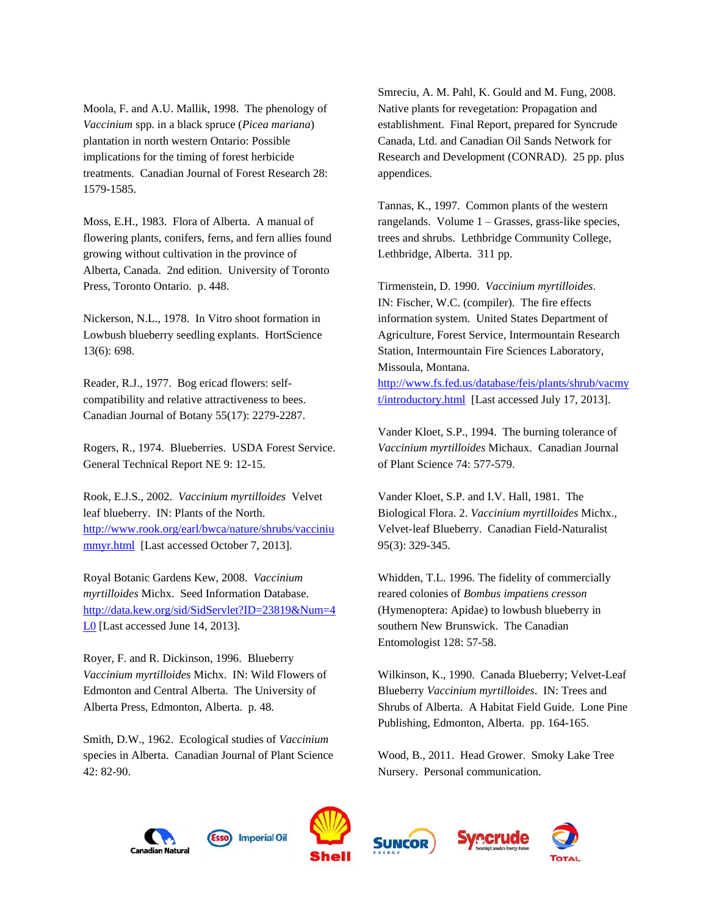Moola, F. and A.U. Mallik, 1998. The phenology of *Vaccinium* spp. in a black spruce (*Picea mariana*) plantation in north western Ontario: Possible implications for the timing of forest herbicide treatments. Canadian Journal of Forest Research 28: 1579-1585.

Moss, E.H., 1983. Flora of Alberta. A manual of flowering plants, conifers, ferns, and fern allies found growing without cultivation in the province of Alberta, Canada. 2nd edition. University of Toronto Press, Toronto Ontario. p. 448.

Nickerson, N.L., 1978. In Vitro shoot formation in Lowbush blueberry seedling explants. HortScience 13(6): 698.

Reader, R.J., 1977. Bog ericad flowers: selfcompatibility and relative attractiveness to bees. Canadian Journal of Botany 55(17): 2279-2287.

Rogers, R., 1974. Blueberries. USDA Forest Service. General Technical Report NE 9: 12-15.

Rook, E.J.S., 2002. *Vaccinium myrtilloides* Velvet leaf blueberry. IN: Plants of the North. [http://www.rook.org/earl/bwca/nature/shrubs/vacciniu](http://www.rook.org/earl/bwca/nature/shrubs/vacciniummyr.html) [mmyr.html](http://www.rook.org/earl/bwca/nature/shrubs/vacciniummyr.html) [Last accessed October 7, 2013].

Royal Botanic Gardens Kew, 2008. *Vaccinium myrtilloides* Michx. Seed Information Database. [http://data.kew.org/sid/SidServlet?ID=23819&Num=4](http://data.kew.org/sid/SidServlet?ID=23819&Num=4L0) [L0](http://data.kew.org/sid/SidServlet?ID=23819&Num=4L0) [Last accessed June 14, 2013].

Royer, F. and R. Dickinson, 1996. Blueberry *Vaccinium myrtilloides* Michx. IN: Wild Flowers of Edmonton and Central Alberta. The University of Alberta Press, Edmonton, Alberta. p. 48.

Smith, D.W., 1962. Ecological studies of *Vaccinium*  species in Alberta. Canadian Journal of Plant Science 42: 82-90.

Smreciu, A. M. Pahl, K. Gould and M. Fung, 2008. Native plants for revegetation: Propagation and establishment. Final Report, prepared for Syncrude Canada, Ltd. and Canadian Oil Sands Network for Research and Development (CONRAD). 25 pp. plus appendices.

Tannas, K., 1997. Common plants of the western rangelands. Volume 1 – Grasses, grass-like species, trees and shrubs. Lethbridge Community College, Lethbridge, Alberta. 311 pp.

Tirmenstein, D. 1990. *Vaccinium myrtilloides*. IN: Fischer, W.C. (compiler). The fire effects information system. United States Department of Agriculture, Forest Service, Intermountain Research Station, Intermountain Fire Sciences Laboratory, Missoula, Montana.

[http://www.fs.fed.us/database/feis/plants/shrub/vacmy](http://www.fs.fed.us/database/feis/plants/shrub/vacmyt/introductory.html) [t/introductory.html](http://www.fs.fed.us/database/feis/plants/shrub/vacmyt/introductory.html) [Last accessed July 17, 2013].

Vander Kloet, S.P., 1994. The burning tolerance of *Vaccinium myrtilloides* Michaux. Canadian Journal of Plant Science 74: 577-579.

Vander Kloet, S.P. and I.V. Hall, 1981. The Biological Flora. 2. *Vaccinium myrtilloides* Michx., Velvet-leaf Blueberry. Canadian Field-Naturalist 95(3): 329-345.

Whidden, T.L. 1996. The fidelity of commercially reared colonies of *Bombus impatiens cresson* (Hymenoptera: Apidae) to lowbush blueberry in southern New Brunswick. The Canadian Entomologist 128: 57-58.

Wilkinson, K., 1990. Canada Blueberry; Velvet-Leaf Blueberry *Vaccinium myrtilloides*. IN: Trees and Shrubs of Alberta. A Habitat Field Guide. Lone Pine Publishing, Edmonton, Alberta. pp. 164-165.

Wood, B., 2011. Head Grower. Smoky Lake Tree Nursery. Personal communication.